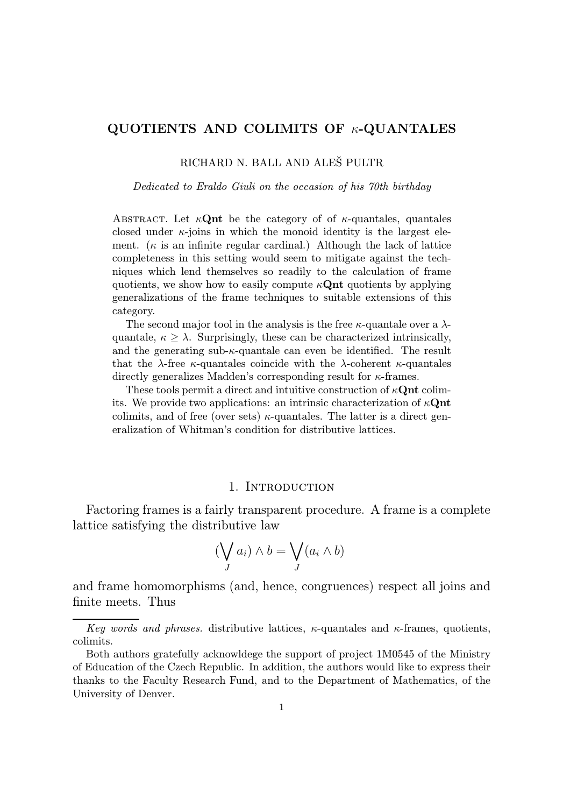# QUOTIENTS AND COLIMITS OF  $\kappa$ -QUANTALES

## RICHARD N. BALL AND ALEŠ PULTR

#### Dedicated to Eraldo Giuli on the occasion of his 70th birthday

ABSTRACT. Let  $\kappa \mathbf{Q}$ nt be the category of of  $\kappa$ -quantales, quantales closed under  $\kappa$ -joins in which the monoid identity is the largest element. ( $\kappa$  is an infinite regular cardinal.) Although the lack of lattice completeness in this setting would seem to mitigate against the techniques which lend themselves so readily to the calculation of frame quotients, we show how to easily compute  $\kappa$ **Qnt** quotients by applying generalizations of the frame techniques to suitable extensions of this category.

The second major tool in the analysis is the free  $\kappa$ -quantale over a  $\lambda$ quantale,  $\kappa > \lambda$ . Surprisingly, these can be characterized intrinsically, and the generating sub- $\kappa$ -quantale can even be identified. The result that the  $\lambda$ -free  $\kappa$ -quantales coincide with the  $\lambda$ -coherent  $\kappa$ -quantales directly generalizes Madden's corresponding result for  $\kappa$ -frames.

These tools permit a direct and intuitive construction of  $\kappa \mathbf{Qnt}$  colimits. We provide two applications: an intrinsic characterization of  $\kappa \mathbf{Q}$ nt colimits, and of free (over sets)  $\kappa$ -quantales. The latter is a direct generalization of Whitman's condition for distributive lattices.

#### 1. INTRODUCTION

Factoring frames is a fairly transparent procedure. A frame is a complete lattice satisfying the distributive law

$$
(\bigvee_{J} a_i) \wedge b = \bigvee_{J} (a_i \wedge b)
$$

and frame homomorphisms (and, hence, congruences) respect all joins and finite meets. Thus

Key words and phrases. distributive lattices,  $\kappa$ -quantales and  $\kappa$ -frames, quotients, colimits.

Both authors gratefully acknowldege the support of project 1M0545 of the Ministry of Education of the Czech Republic. In addition, the authors would like to express their thanks to the Faculty Research Fund, and to the Department of Mathematics, of the University of Denver.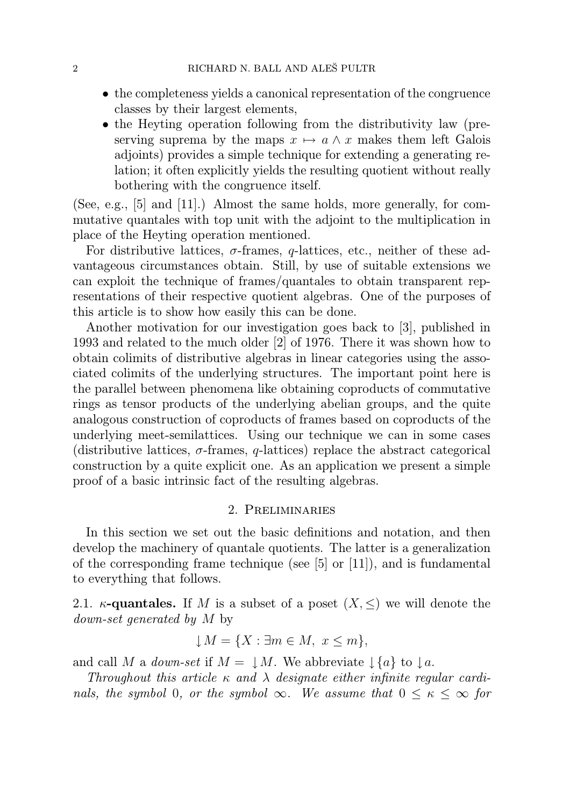- the completeness yields a canonical representation of the congruence classes by their largest elements,
- the Heyting operation following from the distributivity law (preserving suprema by the maps  $x \mapsto a \wedge x$  makes them left Galois adjoints) provides a simple technique for extending a generating relation; it often explicitly yields the resulting quotient without really bothering with the congruence itself.

(See, e.g., [5] and [11].) Almost the same holds, more generally, for commutative quantales with top unit with the adjoint to the multiplication in place of the Heyting operation mentioned.

For distributive lattices,  $\sigma$ -frames,  $q$ -lattices, etc., neither of these advantageous circumstances obtain. Still, by use of suitable extensions we can exploit the technique of frames/quantales to obtain transparent representations of their respective quotient algebras. One of the purposes of this article is to show how easily this can be done.

Another motivation for our investigation goes back to [3], published in 1993 and related to the much older [2] of 1976. There it was shown how to obtain colimits of distributive algebras in linear categories using the associated colimits of the underlying structures. The important point here is the parallel between phenomena like obtaining coproducts of commutative rings as tensor products of the underlying abelian groups, and the quite analogous construction of coproducts of frames based on coproducts of the underlying meet-semilattices. Using our technique we can in some cases (distributive lattices,  $\sigma$ -frames,  $q$ -lattices) replace the abstract categorical construction by a quite explicit one. As an application we present a simple proof of a basic intrinsic fact of the resulting algebras.

# 2. Preliminaries

In this section we set out the basic definitions and notation, and then develop the machinery of quantale quotients. The latter is a generalization of the corresponding frame technique (see [5] or [11]), and is fundamental to everything that follows.

2.1.  $\kappa$ -quantales. If M is a subset of a poset  $(X, \leq)$  we will denote the down-set generated by M by

$$
\downarrow M = \{ X : \exists m \in M, \ x \le m \},
$$

and call M a *down-set* if  $M = \downarrow M$ . We abbreviate  $\downarrow \{a\}$  to  $\downarrow a$ .

Throughout this article  $\kappa$  and  $\lambda$  designate either infinite regular cardinals, the symbol 0, or the symbol  $\infty$ . We assume that  $0 \leq \kappa \leq \infty$  for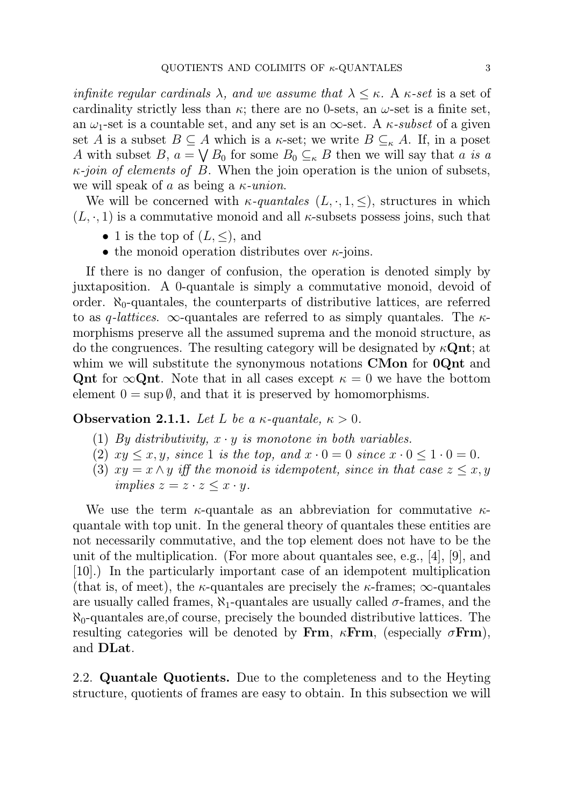infinite regular cardinals  $\lambda$ , and we assume that  $\lambda \leq \kappa$ . A  $\kappa$ -set is a set of cardinality strictly less than  $\kappa$ ; there are no 0-sets, an  $\omega$ -set is a finite set, an  $\omega_1$ -set is a countable set, and any set is an  $\infty$ -set. A  $\kappa$ -subset of a given set A is a subset  $B \subseteq A$  which is a  $\kappa$ -set; we write  $B \subseteq_{\kappa} A$ . If, in a poset A with subset B,  $a = \bigvee B_0$  for some  $B_0 \subseteq_{\kappa} B$  then we will say that a is a  $\kappa$ -join of elements of B. When the join operation is the union of subsets, we will speak of a as being a  $\kappa$ -union.

We will be concerned with  $\kappa$ -quantales  $(L, \cdot, 1, \leq)$ , structures in which  $(L, \cdot, 1)$  is a commutative monoid and all *κ*-subsets possess joins, such that

- 1 is the top of  $(L, \leq)$ , and
- the monoid operation distributes over  $\kappa$ -joins.

If there is no danger of confusion, the operation is denoted simply by juxtaposition. A 0-quantale is simply a commutative monoid, devoid of order.  $\aleph_0$ -quantales, the counterparts of distributive lattices, are referred to as q-lattices.  $\infty$ -quantales are referred to as simply quantales. The  $\kappa$ morphisms preserve all the assumed suprema and the monoid structure, as do the congruences. The resulting category will be designated by  $\kappa \mathbf{Qnt}$ ; at whim we will substitute the synonymous notations **CMon** for **0Qnt** and Qnt for  $\infty$ Qnt. Note that in all cases except  $\kappa = 0$  we have the bottom element  $0 = \sup \emptyset$ , and that it is preserved by homomorphisms.

## **Observation 2.1.1.** Let L be a  $\kappa$ -quantale,  $\kappa > 0$ .

- (1) By distributivity,  $x \cdot y$  is monotone in both variables.
- (2)  $xy \leq x, y$ , since 1 is the top, and  $x \cdot 0 = 0$  since  $x \cdot 0 \leq 1 \cdot 0 = 0$ .
- (3)  $xy = x \wedge y$  iff the monoid is idempotent, since in that case  $z \leq x, y$ implies  $z = z \cdot z \leq x \cdot y$ .

We use the term  $\kappa$ -quantale as an abbreviation for commutative  $\kappa$ quantale with top unit. In the general theory of quantales these entities are not necessarily commutative, and the top element does not have to be the unit of the multiplication. (For more about quantales see, e.g., [4], [9], and [10].) In the particularly important case of an idempotent multiplication (that is, of meet), the  $\kappa$ -quantales are precisely the  $\kappa$ -frames;  $\infty$ -quantales are usually called frames,  $\aleph_1$ -quantales are usually called  $\sigma$ -frames, and the  $\aleph_0$ -quantales are, of course, precisely the bounded distributive lattices. The resulting categories will be denoted by Frm,  $\kappa$ Frm, (especially  $\sigma$ Frm), and DLat.

2.2. Quantale Quotients. Due to the completeness and to the Heyting structure, quotients of frames are easy to obtain. In this subsection we will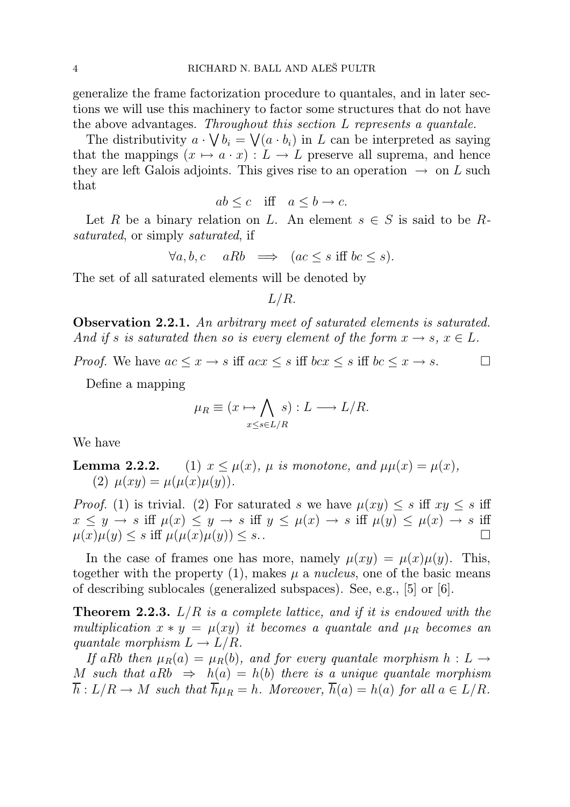generalize the frame factorization procedure to quantales, and in later sections we will use this machinery to factor some structures that do not have the above advantages. Throughout this section L represents a quantale.

The distributivity  $a \cdot \bigvee b_i = \bigvee (a \cdot b_i)$  in L can be interpreted as saying that the mappings  $(x \mapsto a \cdot x) : L \to L$  preserve all suprema, and hence they are left Galois adjoints. This gives rise to an operation  $\rightarrow$  on L such that

$$
ab \le c \quad \text{iff} \quad a \le b \to c.
$$

Let R be a binary relation on L. An element  $s \in S$  is said to be Rsaturated, or simply *saturated*, if

$$
\forall a, b, c \quad aRb \implies (ac \le s \text{ iff } bc \le s).
$$

The set of all saturated elements will be denoted by

L/R.

Observation 2.2.1. An arbitrary meet of saturated elements is saturated. And if s is saturated then so is every element of the form  $x \to s$ ,  $x \in L$ .

*Proof.* We have  $ac \leq x \to s$  iff  $acx \leq s$  iff  $bcx \leq s$  iff  $bc \leq x \to s$ .

Define a mapping

$$
\mu_R \equiv (x \mapsto \bigwedge_{x \le s \in L/R} s) : L \longrightarrow L/R.
$$

We have

**Lemma 2.2.2.** (1)  $x \leq \mu(x)$ ,  $\mu$  is monotone, and  $\mu\mu(x) = \mu(x)$ , (2)  $\mu(xy) = \mu(\mu(x)\mu(y)).$ 

*Proof.* (1) is trivial. (2) For saturated s we have  $\mu(xy) \leq s$  iff  $xy \leq s$  iff  $x \leq y \to s$  iff  $\mu(x) \leq y \to s$  iff  $y \leq \mu(x) \to s$  iff  $\mu(y) \leq \mu(x) \to s$  iff  $\mu(x)\mu(y) \leq s$  iff  $\mu(\mu(x)\mu(y)) \leq s$ .

In the case of frames one has more, namely  $\mu(xy) = \mu(x)\mu(y)$ . This, together with the property (1), makes  $\mu$  a nucleus, one of the basic means of describing sublocales (generalized subspaces). See, e.g., [5] or [6].

**Theorem 2.2.3.**  $L/R$  is a complete lattice, and if it is endowed with the multiplication  $x * y = \mu(xy)$  it becomes a quantale and  $\mu_R$  becomes an quantale morphism  $L \to L/R$ .

If aRb then  $\mu_B(a) = \mu_B(b)$ , and for every quantale morphism  $h : L \rightarrow$ M such that  $aRb \Rightarrow h(a) = h(b)$  there is a unique quantale morphism  $\overline{h}: L/R \to M$  such that  $\overline{h}\mu_R = h$ . Moreover,  $\overline{h}(a) = h(a)$  for all  $a \in L/R$ .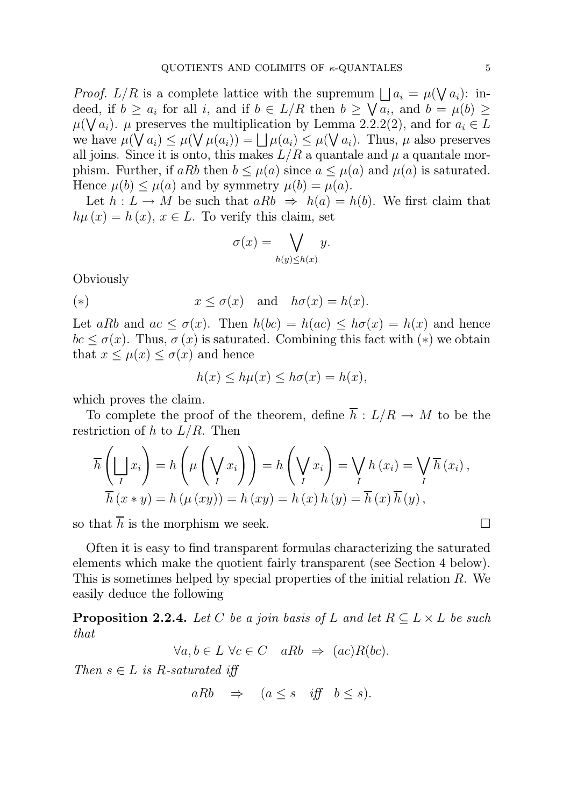*Proof.* L/R is a complete lattice with the supremum  $\bigcup a_i = \mu(\bigvee a_i)$ : indeed, if  $b \ge a_i$  for all i, and if  $b \in L/R$  then  $b \ge \sqrt{a_i}$ , and  $b = \mu(b) \ge$  $\mu(\bigvee a_i)$ .  $\mu$  preserves the multiplication by Lemma 2.2.2(2), and for  $a_i \in L$ we have  $\mu(\bigvee a_i) \leq \mu(\bigvee \mu(a_i)) = \bigsqcup \mu(a_i) \leq \mu(\bigvee a_i)$ . Thus,  $\mu$  also preserves all joins. Since it is onto, this makes  $L/R$  a quantale and  $\mu$  a quantale morphism. Further, if aRb then  $b \leq \mu(a)$  since  $a \leq \mu(a)$  and  $\mu(a)$  is saturated. Hence  $\mu(b) \leq \mu(a)$  and by symmetry  $\mu(b) = \mu(a)$ .

Let  $h: L \to M$  be such that  $aRb \Rightarrow h(a) = h(b)$ . We first claim that  $h\mu(x) = h(x), x \in L$ . To verify this claim, set

$$
\sigma(x) = \bigvee_{h(y) \le h(x)} y.
$$

**Obviously** 

(\*) 
$$
x \leq \sigma(x)
$$
 and  $h\sigma(x) = h(x)$ .

Let aRb and  $ac \leq \sigma(x)$ . Then  $h(bc) = h(ac) \leq h(c) = h(x)$  and hence  $bc \leq \sigma(x)$ . Thus,  $\sigma(x)$  is saturated. Combining this fact with  $(*)$  we obtain that  $x \leq \mu(x) \leq \sigma(x)$  and hence

$$
h(x) \le h\mu(x) \le h\sigma(x) = h(x),
$$

which proves the claim.

To complete the proof of the theorem, define  $\overline{h}$  :  $L/R \rightarrow M$  to be the restriction of h to  $L/R$ . Then

$$
\overline{h}\left(\bigsqcup_{I} x_{i}\right) = h\left(\mu\left(\bigvee_{I} x_{i}\right)\right) = h\left(\bigvee_{I} x_{i}\right) = \bigvee_{I} h\left(x_{i}\right) = \bigvee_{I} \overline{h}\left(x_{i}\right),
$$
  

$$
\overline{h}\left(x * y\right) = h\left(\mu\left(xy\right)\right) = h\left(xy\right) = h\left(x\right)h\left(y\right) = \overline{h}\left(x\right)\overline{h}\left(y\right),
$$

so that  $\overline{h}$  is the morphism we seek.

Often it is easy to find transparent formulas characterizing the saturated elements which make the quotient fairly transparent (see Section 4 below). This is sometimes helped by special properties of the initial relation R. We easily deduce the following

**Proposition 2.2.4.** Let C be a join basis of L and let  $R \subseteq L \times L$  be such that

$$
\forall a, b \in L \,\,\forall c \in C \quad aRb \Rightarrow (ac)R(bc).
$$

Then  $s \in L$  is R-saturated iff

$$
aRb \quad \Rightarrow \quad (a \le s \quad \text{iff} \quad b \le s).
$$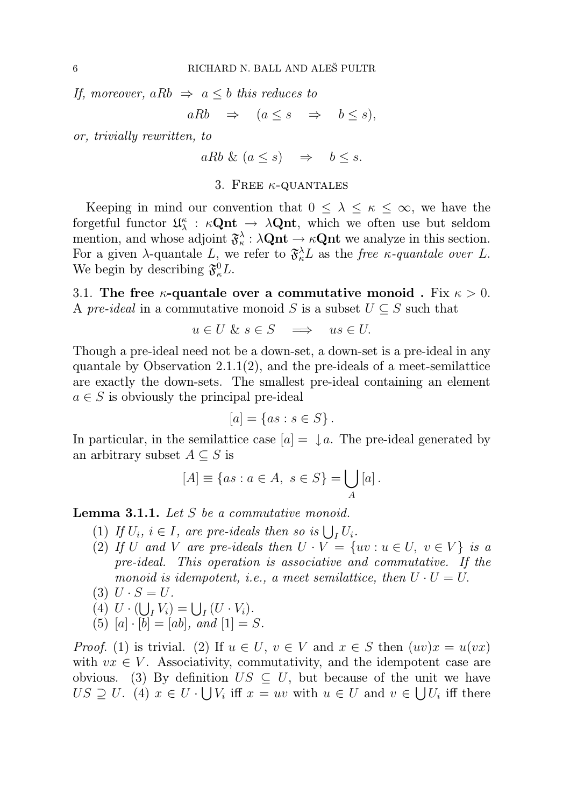If, moreover, aRb  $\Rightarrow$  a  $\leq$  b this reduces to

 $aRb \Rightarrow (a \leq s \Rightarrow b \leq s),$ 

or, trivially rewritten, to

 $aRb \& (a \leq s) \Rightarrow b \leq s.$ 

#### 3. FREE  $\kappa$ -QUANTALES

Keeping in mind our convention that  $0 \leq \lambda \leq \kappa \leq \infty$ , we have the forgetful functor  $\mathfrak{U}^{\kappa}_{\lambda}$  $\kappa_{\lambda} : \kappa \mathbf{Qnt} \to \lambda \mathbf{Qnt}$ , which we often use but seldom mention, and whose adjoint  $\mathfrak{F}_{\kappa}^{\lambda}$  $\lambda_{\kappa} : \lambda \mathbf{Qnt} \to \kappa \mathbf{Qnt}$  we analyze in this section. For a given  $\lambda$ -quantale L, we refer to  $\mathfrak{F}_{\kappa}^{\lambda}L$  as the free  $\kappa$ -quantale over L. We begin by describing  $\mathfrak{F}^0_{\kappa}L$ .

3.1. The free  $\kappa$ -quantale over a commutative monoid. Fix  $\kappa > 0$ . A pre-ideal in a commutative monoid S is a subset  $U \subseteq S$  such that

$$
u \in U \& s \in S \implies us \in U.
$$

Though a pre-ideal need not be a down-set, a down-set is a pre-ideal in any quantale by Observation 2.1.1 $(2)$ , and the pre-ideals of a meet-semilattice are exactly the down-sets. The smallest pre-ideal containing an element  $a \in S$  is obviously the principal pre-ideal

$$
[a] = \{as : s \in S\}.
$$

In particular, in the semilattice case  $[a] = \int a$ . The pre-ideal generated by an arbitrary subset  $A \subseteq S$  is

$$
[A] \equiv \{ as : a \in A, \ s \in S \} = \bigcup_{A} [a].
$$

Lemma 3.1.1. Let S be a commutative monoid.

- (1) If  $U_i$ ,  $i \in I$ , are pre-ideals then so is  $\bigcup_I U_i$ .
- (2) If U and V are pre-ideals then  $U \cdot V = \{uv : u \in U, v \in V\}$  is a pre-ideal. This operation is associative and commutative. If the monoid is idempotent, i.e., a meet semilattice, then  $U \cdot U = U$ .
- (3)  $U \cdot S = U$ .
- (4)  $U \cdot (\bigcup_{I} V_i) = \bigcup_{I} (U \cdot V_i).$
- (5)  $[a] \cdot [b] = [ab]$ , and  $[1] = S$ .

*Proof.* (1) is trivial. (2) If  $u \in U$ ,  $v \in V$  and  $x \in S$  then  $(uv)x = u(vx)$ with  $vx \in V$ . Associativity, commutativity, and the idempotent case are obvious. (3) By definition  $US \subseteq U$ , but because of the unit we have  $US \supseteq U$ . (4)  $x \in U \cdot \bigcup V_i$  iff  $x = uv$  with  $u \in U$  and  $v \in \bigcup U_i$  iff there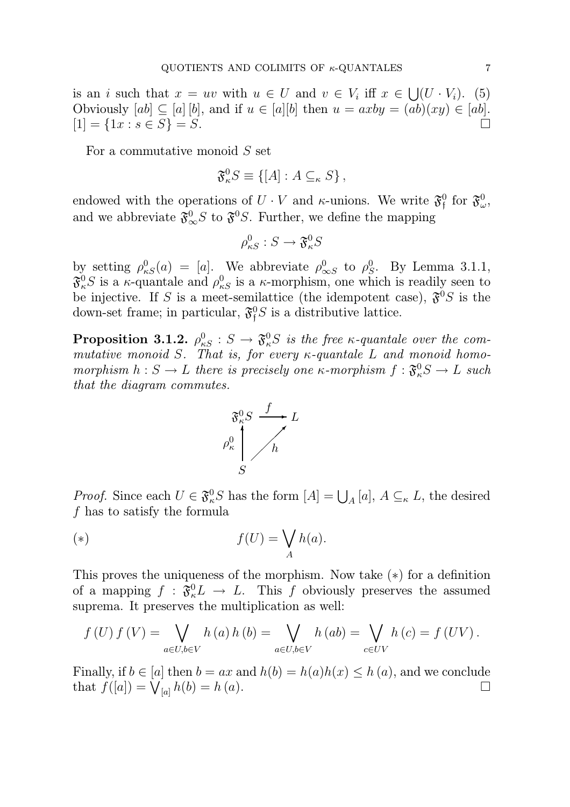is an i such that  $x = uv$  with  $u \in U$  and  $v \in V_i$  iff  $x \in \bigcup (U \cdot V_i)$ . (5) Obviously  $[ab] \subseteq [a] [b]$ , and if  $u \in [a][b]$  then  $u = axby = (ab)(xy) \in [ab]$ .  $[1] = \{1x : s \in S\} = S.$ 

For a commutative monoid S set

$$
\mathfrak{F}_{\kappa}^{0}S \equiv \{ [A] : A \subseteq_{\kappa} S \},
$$

endowed with the operations of  $U \cdot V$  and  $\kappa$ -unions. We write  $\mathfrak{F}^0$  $_{\mathfrak{f}}^{0}$  for  $\mathfrak{F}_{\omega}^{0}$  $_{\omega}^{\text{0}},$ and we abbreviate  $\mathfrak{F}_{\infty}^0 S$  to  $\mathfrak{F}^0 S$ . Further, we define the mapping

$$
\rho_{\kappa S}^0 : S \to \mathfrak{F}_\kappa^0 S
$$

by setting  $\rho_{\kappa S}^0(a) = [a]$ . We abbreviate  $\rho_{\infty S}^0$  to  $\rho_S^0$  $S<sup>0</sup>$ . By Lemma 3.1.1,  $\mathfrak{F}^0_\kappa S$  is a  $\kappa$ -quantale and  $\rho^0_{\kappa S}$  is a  $\kappa$ -morphism, one which is readily seen to be injective. If S is a meet-semilattice (the idempotent case),  $\mathfrak{F}^0 S$  is the down-set frame; in particular,  $\mathfrak{F}^0$  is a distributive lattice.

**Proposition 3.1.2.**  $\rho_{\kappa S}^0 : S \to \mathfrak{F}^0_{\kappa}S$  is the free  $\kappa$ -quantale over the commutative monoid S. That is, for every  $\kappa$ -quantale L and monoid homomorphism  $h: S \to L$  there is precisely one  $\kappa$ -morphism  $f: \mathfrak{F}^0_\kappa S \to L$  such that the diagram commutes.



*Proof.* Since each  $U \in \mathfrak{F}^0_\kappa S$  has the form  $[A] = \bigcup_A [a], A \subseteq_\kappa L$ , the desired f has to satisfy the formula

$$
f(U) = \bigvee_A h(a).
$$

This proves the uniqueness of the morphism. Now take (∗) for a definition of a mapping  $f : \mathfrak{F}^0_{\kappa} L \to L$ . This f obviously preserves the assumed suprema. It preserves the multiplication as well:

$$
f(U) f(V) = \bigvee_{a \in U, b \in V} h(a) h(b) = \bigvee_{a \in U, b \in V} h(ab) = \bigvee_{c \in UV} h(c) = f(UV).
$$

Finally, if  $b \in [a]$  then  $b = ax$  and  $h(b) = h(a)h(x) \leq h(a)$ , and we conclude that  $f([a]) = \bigvee_{[a]} h(b) = h(a)$ .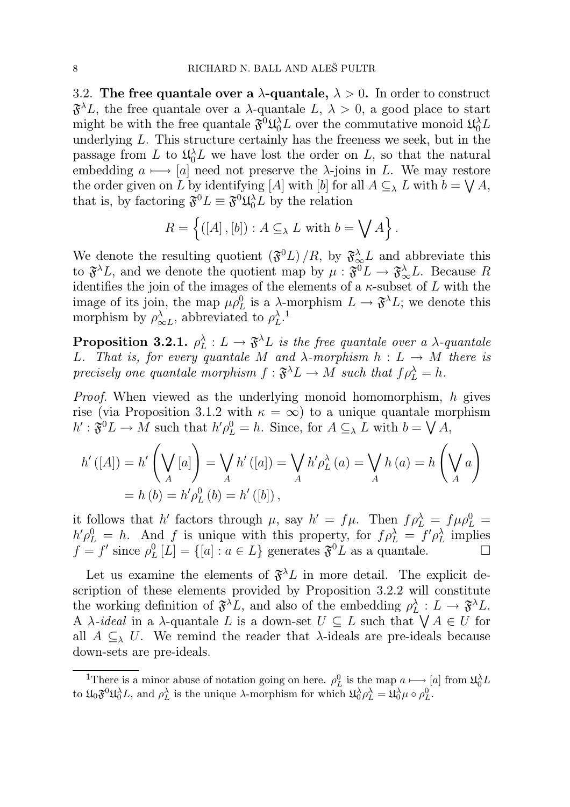3.2. The free quantale over a  $\lambda$ -quantale,  $\lambda > 0$ . In order to construct  $\mathfrak{F}^{\lambda}L$ , the free quantale over a  $\lambda$ -quantale  $L, \lambda > 0$ , a good place to start might be with the free quantale  $\mathfrak{F}^0 \mathfrak{U}_0^{\lambda} L$  over the commutative monoid  $\mathfrak{U}_0^{\lambda} L$ underlying L. This structure certainly has the freeness we seek, but in the passage from L to  $\mathfrak{U}_0^{\lambda} L$  we have lost the order on L, so that the natural embedding  $a \mapsto [a]$  need not preserve the  $\lambda$ -joins in L. We may restore the order given on L by identifying [A] with [b] for all  $A \subseteq_{\lambda} L$  with  $b = \bigvee A$ , that is, by factoring  $\mathfrak{F}^0 L \equiv \mathfrak{F}^0 \mathfrak{U}_0^{\lambda} L$  by the relation

$$
R = \left\{ ([A], [b]) : A \subseteq_{\lambda} L \text{ with } b = \bigvee A \right\}.
$$

We denote the resulting quotient  $(\mathfrak{F}^0 L)/R$ , by  $\mathfrak{F}_{\infty}^{\lambda} L$  and abbreviate this to  $\mathfrak{F}^{\lambda}L$ , and we denote the quotient map by  $\mu: \mathfrak{F}^0L \to \mathfrak{F}_{\infty}^{\lambda}L$ . Because R identifies the join of the images of the elements of a  $\kappa$ -subset of L with the image of its join, the map  $\mu \rho_L^0$  is a  $\lambda$ -morphism  $L \to \mathfrak{F}^{\lambda} L$ ; we denote this morphism by  $\rho^{\lambda}_{\alpha}$  $\lambda_{\infty L}^{\lambda}$ , abbreviated to  $\rho_L^{\lambda}$  $\lambda$ <sub>L</sub>.

 $\text{Proposition 3.2.1.} \; \rho_L^{\lambda}$  $\lambda_L^{\lambda}: L \rightarrow \mathfrak{F}^{\lambda} L$  is the free quantale over a  $\lambda$ -quantale L. That is, for every quantale M and  $\lambda$ -morphism  $h: L \to M$  there is precisely one quantale morphism  $f: \mathfrak{F}^{\lambda} L \to M$  such that  $f \rho_L^{\lambda} = h$ .

Proof. When viewed as the underlying monoid homomorphism, h gives rise (via Proposition 3.1.2 with  $\kappa = \infty$ ) to a unique quantale morphism  $h': \mathfrak{F}^0L \to M$  such that  $h'\rho_L^0 = h$ . Since, for  $A \subseteq_{\lambda} L$  with  $b = \bigvee A$ ,

$$
h'([A]) = h' \left(\bigvee_A [a]\right) = \bigvee_A h'([a]) = \bigvee_A h' \rho_L^{\lambda}(a) = \bigvee_A h(a) = h \left(\bigvee_A a\right)
$$
  
=  $h(b) = h' \rho_L^0(b) = h'([b]),$ 

it follows that h' factors through  $\mu$ , say  $h' = f\mu$ . Then  $f\rho_L^{\lambda} = f\mu \rho_L^0 =$  $h' \rho_L^0 = h$ . And f is unique with this property, for  $f \rho_L^{\lambda} = f' \rho_L^{\lambda}$  $\lambda$  implies  $f = f'$  since  $\rho_I^0$  $L_L^0[L] = \{ [a] : a \in L \}$  generates  $\mathfrak{F}^0 L$  as a quantale.

Let us examine the elements of  $\mathfrak{F}^{\lambda}L$  in more detail. The explicit description of these elements provided by Proposition 3.2.2 will constitute the working definition of  $\mathfrak{F}^{\lambda}L$ , and also of the embedding  $\rho_L^{\lambda}$  $\frac{\lambda}{L}: L \to \mathfrak{F}^{\lambda} L.$ A  $\lambda$ -ideal in a  $\lambda$ -quantale L is a down-set  $U \subseteq L$  such that  $\bigvee A \in U$  for all  $A \subseteq_{\lambda} U$ . We remind the reader that  $\lambda$ -ideals are pre-ideals because down-sets are pre-ideals.

<sup>&</sup>lt;sup>1</sup>There is a minor abuse of notation going on here.  $\rho_L^0$  is the map  $a \mapsto [a]$  from  $\mathfrak{U}_0^{\lambda} L$ to  $\mathfrak{U}_0 \mathfrak{F}^0 \mathfrak{U}_0^{\lambda} L$ , and  $\rho_L^{\lambda}$  is the unique  $\lambda$ -morphism for which  $\mathfrak{U}_0^{\lambda} \rho_L^{\lambda} = \mathfrak{U}_0^{\lambda} \mu \circ \rho_L^0$ .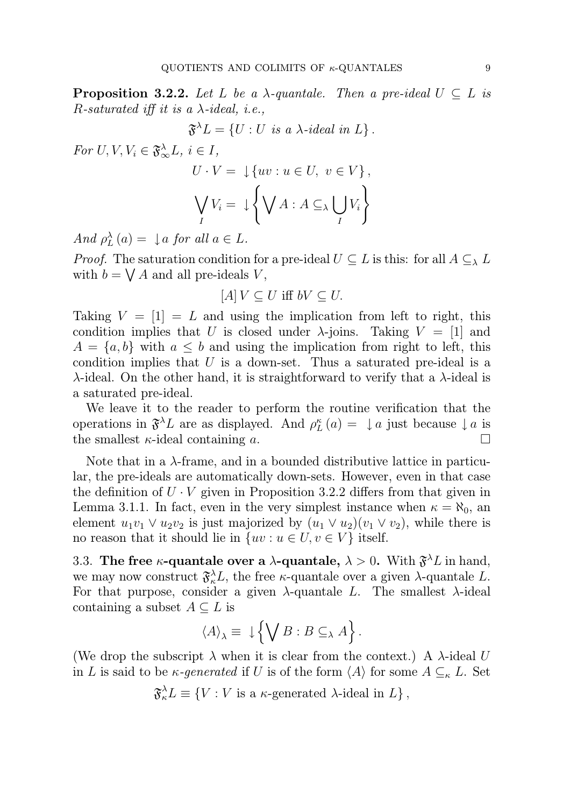**Proposition 3.2.2.** Let L be a  $\lambda$ -quantale. Then a pre-ideal  $U \subseteq L$  is R-saturated iff it is a  $\lambda$ -ideal, i.e.,

$$
\mathfrak{F}^{\lambda}L = \{ U : U \text{ is a } \lambda \text{-ideal in } L \}.
$$

For  $U, V, V_i \in \mathfrak{F}_{\infty}^{\lambda} L, i \in I$ ,

$$
U \cdot V = \downarrow \{uv : u \in U, v \in V\},\
$$

$$
\bigvee_{I} V_{i} = \downarrow \left\{\bigvee_{I} A : A \subseteq_{\lambda} \bigcup_{I} V_{i}\right\}
$$

And  $\rho_L^{\lambda}$  $\lambda_L^{\lambda}(a) = \int a$  for all  $a \in L$ .

*Proof.* The saturation condition for a pre-ideal  $U \subseteq L$  is this: for all  $A \subseteq_{\lambda} L$ with  $b = \bigvee A$  and all pre-ideals V,

$$
[A]V \subseteq U \text{ iff } bV \subseteq U.
$$

Taking  $V = [1] = L$  and using the implication from left to right, this condition implies that U is closed under  $\lambda$ -joins. Taking  $V = [1]$  and  $A = \{a, b\}$  with  $a \leq b$  and using the implication from right to left, this condition implies that  $U$  is a down-set. Thus a saturated pre-ideal is a  $\lambda$ -ideal. On the other hand, it is straightforward to verify that a  $\lambda$ -ideal is a saturated pre-ideal.

We leave it to the reader to perform the routine verification that the operations in  $\mathfrak{F}^{\lambda}L$  are as displayed. And  $\rho_L^{\kappa}$  $L_L^{\kappa}(a) = \downarrow a$  just because  $\downarrow a$  is the smallest  $\kappa$ -ideal containing a.

Note that in a  $\lambda$ -frame, and in a bounded distributive lattice in particular, the pre-ideals are automatically down-sets. However, even in that case the definition of  $U \cdot V$  given in Proposition 3.2.2 differs from that given in Lemma 3.1.1. In fact, even in the very simplest instance when  $\kappa = \aleph_0$ , and element  $u_1v_1 \vee u_2v_2$  is just majorized by  $(u_1 \vee u_2)(v_1 \vee v_2)$ , while there is no reason that it should lie in  $\{uv : u \in U, v \in V\}$  itself.

3.3. The free  $\kappa$ -quantale over a  $\lambda$ -quantale,  $\lambda > 0$ . With  $\mathfrak{F}^{\lambda}L$  in hand, we may now construct  $\mathfrak{F}_{\kappa}^{\lambda}L$ , the free  $\kappa$ -quantale over a given  $\lambda$ -quantale L. For that purpose, consider a given  $\lambda$ -quantale L. The smallest  $\lambda$ -ideal containing a subset  $A \subseteq L$  is

$$
\langle A \rangle_{\lambda} \equiv \downarrow \left\{ \bigvee B : B \subseteq_{\lambda} A \right\}.
$$

(We drop the subscript  $\lambda$  when it is clear from the context.) A  $\lambda$ -ideal U in L is said to be  $\kappa$ -generated if U is of the form  $\langle A \rangle$  for some  $A \subseteq_{\kappa} L$ . Set

$$
\mathfrak{F}_{\kappa}^{\lambda}L \equiv \{ V : V \text{ is a } \kappa\text{-generated } \lambda\text{-ideal in } L \},
$$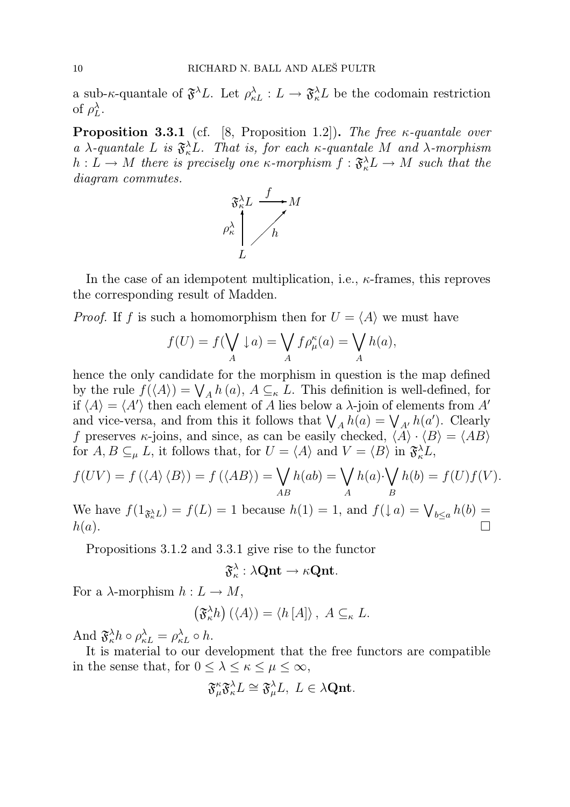a sub- $\kappa$ -quantale of  $\mathfrak{F}^{\lambda}L$ . Let  $\rho_{\kappa L}^{\lambda}: L \to \mathfrak{F}_{\kappa}^{\lambda}L$  be the codomain restriction of  $\rho_L^\lambda$  $_{L}^{\lambda}$  .

**Proposition 3.3.1** (cf. [8, Proposition 1.2]). The free  $\kappa$ -quantale over a  $\lambda$ -quantale L is  $\mathfrak{F}_{\kappa}^{\lambda}L$ . That is, for each  $\kappa$ -quantale M and  $\lambda$ -morphism  $h: L \to M$  there is precisely one  $\kappa$ -morphism  $f: \mathfrak{F}^{\lambda}_{\kappa} L \to M$  such that the diagram commutes.



In the case of an idempotent multiplication, i.e.,  $\kappa$ -frames, this reproves the corresponding result of Madden.

*Proof.* If f is such a homomorphism then for  $U = \langle A \rangle$  we must have

$$
f(U) = f(\bigvee_A \downarrow a) = \bigvee_A f\rho^{\kappa}_{\mu}(a) = \bigvee_A h(a),
$$

hence the only candidate for the morphism in question is the map defined by the rule  $f(\langle A \rangle) = \bigvee_A h(a), A \subseteq_{\kappa} L$ . This definition is well-defined, for if  $\langle A \rangle = \langle A' \rangle$  then each element of A lies below a  $\lambda$ -join of elements from A' and vice-versa, and from this it follows that  $\bigvee_A h(a) = \bigvee_{A'} h(a')$ . Clearly f preserves  $\kappa$ -joins, and since, as can be easily checked,  $\langle A \rangle \cdot \langle B \rangle = \langle AB \rangle$ for  $A, B \subseteq_{\mu} L$ , it follows that, for  $U = \langle A \rangle$  and  $V = \langle B \rangle$  in  $\mathfrak{F}_{\kappa}^{\lambda} L$ ,

$$
f(UV) = f(\langle A \rangle \langle B \rangle) = f(\langle AB \rangle) = \bigvee_{AB} h(ab) = \bigvee_{A} h(a) \cdot \bigvee_{B} h(b) = f(U)f(V).
$$

We have  $f(1_{\mathfrak{F}_{\alpha}^{\lambda}}L) = f(L) = 1$  because  $h(1) = 1$ , and  $f(\downarrow a) = \bigvee_{b \leq a} h(b) =$  $h(a).$ 

Propositions 3.1.2 and 3.3.1 give rise to the functor

$$
\mathfrak{F}^\lambda_\kappa:\lambda\mathrm{Qnt}\to\kappa\mathrm{Qnt}.
$$

For a  $\lambda$ -morphism  $h: L \to M$ ,

$$
\left(\mathfrak{F}_{\kappa}^{\lambda}h\right)\left(\langle A\rangle\right)=\langle h\left[A\right]\rangle,\ A\subseteq_{\kappa}L.
$$

And  $\mathfrak{F}^{\lambda}_{\kappa}h \circ \rho_{\kappa L}^{\lambda} = \rho_{\kappa L}^{\lambda} \circ h.$ 

It is material to our development that the free functors are compatible in the sense that, for  $0 \leq \lambda \leq \kappa \leq \mu \leq \infty$ ,

$$
\mathfrak{F}^{\kappa}_{\mu}\mathfrak{F}^{\lambda}_{\kappa}L\cong\mathfrak{F}^{\lambda}_{\mu}L,\ L\in\lambda\mathbf{Qnt}.
$$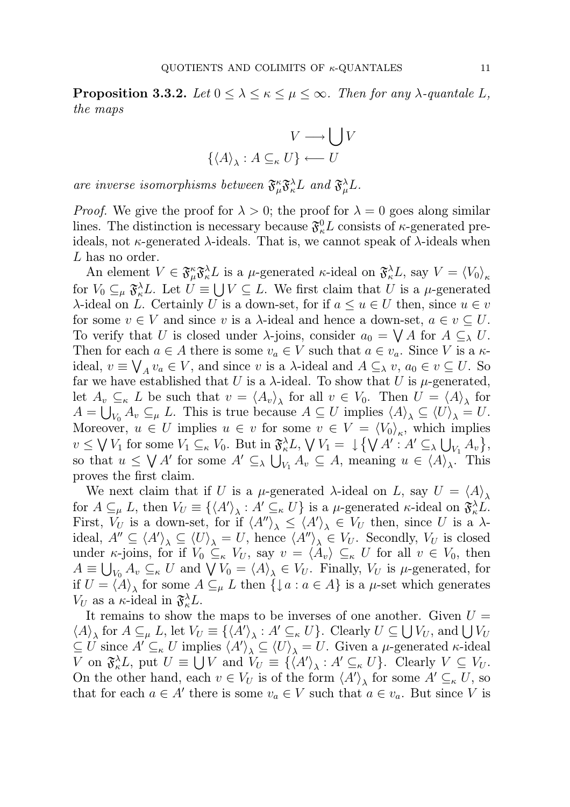**Proposition 3.3.2.** Let  $0 \leq \lambda \leq \kappa \leq \mu \leq \infty$ . Then for any  $\lambda$ -quantale L, the maps

$$
V \longrightarrow \bigcup V
$$

$$
\{ \langle A \rangle_{\lambda} : A \subseteq_{\kappa} U \} \longleftarrow U
$$

are inverse isomorphisms between  $\mathfrak{F}^{\kappa}_{\mu} \mathfrak{F}^{\lambda}_{\kappa} L$  and  $\mathfrak{F}^{\lambda}_{\mu} L$ .

*Proof.* We give the proof for  $\lambda > 0$ ; the proof for  $\lambda = 0$  goes along similar lines. The distinction is necessary because  $\mathfrak{F}^0_{\kappa}L$  consists of  $\kappa$ -generated preideals, not  $\kappa$ -generated  $\lambda$ -ideals. That is, we cannot speak of  $\lambda$ -ideals when L has no order.

An element  $V \in \mathfrak{F}^{\kappa}_{\mu} \mathfrak{F}^{\lambda}_{\kappa} L$  is a  $\mu$ -generated  $\kappa$ -ideal on  $\mathfrak{F}^{\lambda}_{\kappa} L$ , say  $V = \langle V_0 \rangle_{\kappa}$ for  $V_0 \subseteq_{\mu} \mathfrak{F}_{\kappa}^{\lambda} L$ . Let  $U \equiv \bigcup V \subseteq L$ . We first claim that U is a  $\mu$ -generated λ-ideal on *L*. Certainly *U* is a down-set, for if  $a ≤ u ∈ U$  then, since  $u ∈ v$ for some  $v \in V$  and since v is a  $\lambda$ -ideal and hence a down-set,  $a \in v \subset U$ . To verify that U is closed under  $\lambda$ -joins, consider  $a_0 = \bigvee A$  for  $A \subseteq_{\lambda} U$ . Then for each  $a \in A$  there is some  $v_a \in V$  such that  $a \in v_a$ . Since V is a  $\kappa$ ideal,  $v \equiv \bigvee_A v_a \in V$ , and since v is a  $\lambda$ -ideal and  $A \subseteq_{\lambda} v$ ,  $a_0 \in v \subseteq U$ . So far we have established that U is a  $\lambda$ -ideal. To show that U is  $\mu$ -generated, let  $A_v \subseteq_{\kappa} L$  be such that  $v = \langle A_v \rangle_{\lambda}$  for all  $v \in V_0$ . Then  $U = \langle A \rangle_{\lambda}$  for  $A = \bigcup_{V_0} A_v \subseteq_{\mu} L$ . This is true because  $A \subseteq U$  implies  $\langle A \rangle_{\lambda} \subseteq \langle U \rangle_{\lambda} = U$ . Moreover,  $u \in U$  implies  $u \in v$  for some  $v \in V = \langle V_0 \rangle_\kappa$ , which implies  $v \leq \bigvee V_1$  for some  $V_1 \subseteq_{\kappa} V_0$ . But in  $\mathfrak{F}_{\kappa}^{\lambda} L$ ,  $\bigvee V_1 = \downarrow \bigvee A' : A' \subseteq_{\lambda} \bigcup_{V_1} A_v \big\},$ so that  $u \leq \bigvee A'$  for some  $A' \subseteq_{\lambda} \bigcup_{V_1} A_v \subseteq A$ , meaning  $u \in \langle A \rangle_{\lambda}$ . This proves the first claim.

We next claim that if U is a  $\mu$ -generated  $\lambda$ -ideal on L, say  $U = \langle A \rangle_{\lambda}$ for  $A \subseteq_{\mu} L$ , then  $V_U \equiv \{ \langle A' \rangle_{\lambda} : A' \subseteq_{\kappa} U \}$  is a  $\mu$ -generated  $\kappa$ -ideal on  $\mathfrak{F}_{\kappa}^{\lambda} L$ . First,  $V_U$  is a down-set, for if  $\langle A'' \rangle_{\lambda} \le \langle A' \rangle_{\lambda} \in V_U$  then, since U is a  $\lambda$ ideal,  $A'' \subseteq \langle A' \rangle_{\lambda} \subseteq \langle U \rangle_{\lambda} = U$ , hence  $\langle A'' \rangle_{\lambda} \in V_U$ . Secondly,  $V_U$  is closed under κ-joins, for if  $V_0 \subseteq_{\kappa} V_U$ , say  $v = \langle A_v \rangle \subseteq_{\kappa} U$  for all  $v \in V_0$ , then  $A \equiv \bigcup_{V_0} A_v \subseteq_{\kappa} U$  and  $\bigvee V_0 = \langle A \rangle_{\lambda} \in V_U$ . Finally,  $V_U$  is  $\mu$ -generated, for if  $U = \langle A \rangle_{\lambda}$  for some  $A \subseteq_{\mu} L$  then  $\{\downarrow a : a \in A\}$  is a  $\mu$ -set which generates  $V_U$  as a  $\kappa$ -ideal in  $\mathfrak{F}^{\lambda}_{\kappa}L$ .

It remains to show the maps to be inverses of one another. Given  $U =$  $\langle A \rangle_{\lambda}$  for  $A \subseteq_{\mu} L$ , let  $V_U \equiv \{ \langle A' \rangle_{\lambda} : A' \subseteq_{\kappa} U \}$ . Clearly  $U \subseteq \bigcup V_U$ , and  $\bigcup V_U$  $\subseteq U$  since  $A' \subseteq_{\kappa} U$  implies  $\langle A' \rangle_{\lambda} \subseteq \langle U \rangle_{\lambda} = U$ . Given a  $\mu$ -generated  $\kappa$ -ideal V on  $\mathfrak{F}_{\kappa}^{\lambda}L$ , put  $U \equiv \bigcup V$  and  $V_U \equiv \{\langle A' \rangle_{\lambda} : A' \subseteq_{\kappa} U\}$ . Clearly  $V \subseteq V_U$ . On the other hand, each  $v \in V_U$  is of the form  $\langle A' \rangle_{\lambda}$  for some  $A' \subseteq_{\kappa} U$ , so that for each  $a \in A'$  there is some  $v_a \in V$  such that  $a \in v_a$ . But since V is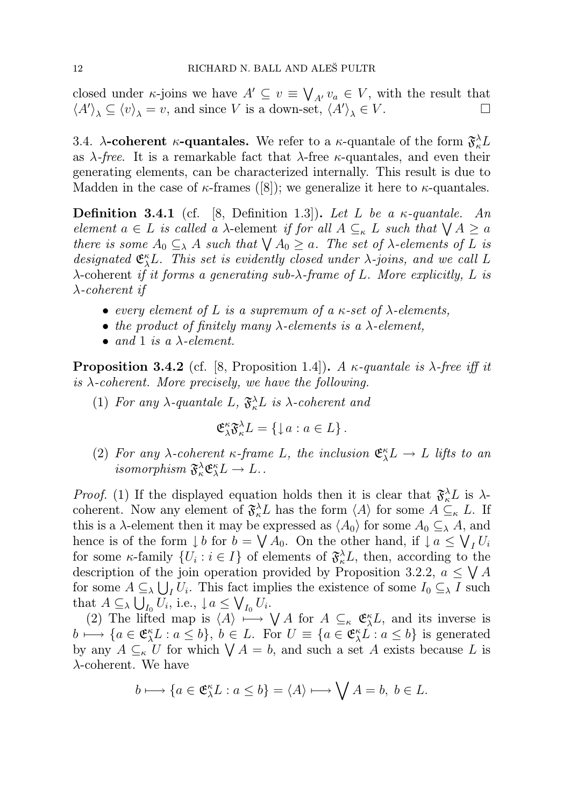closed under  $\kappa$ -joins we have  $A' \subseteq v \equiv \bigvee_{A'} v_a \in V$ , with the result that  $\langle A' \rangle_{\lambda} \subseteq \langle v \rangle_{\lambda} = v$ , and since V is a down-set,  $\langle A' \rangle_{\lambda} \in V$ .

3.4.  $\lambda$ -coherent  $\kappa$ -quantales. We refer to a  $\kappa$ -quantale of the form  $\mathfrak{F}_{\kappa}^{\lambda}L$ as  $\lambda$ -free. It is a remarkable fact that  $\lambda$ -free  $\kappa$ -quantales, and even their generating elements, can be characterized internally. This result is due to Madden in the case of  $\kappa$ -frames ([8]); we generalize it here to  $\kappa$ -quantales.

**Definition 3.4.1** (cf. [8, Definition 1.3]). Let L be a  $\kappa$ -quantale. An element  $a \in L$  is called a  $\lambda$ -element if for all  $A \subseteq_{\kappa} L$  such that  $\bigvee A \ge a$ there is some  $A_0 \subseteq_{\lambda} A$  such that  $\bigvee A_0 \geq a$ . The set of  $\lambda$ -elements of L is designated  $\mathfrak{E}_{\lambda}^{\kappa}L$ . This set is evidently closed under  $\lambda$ -joins, and we call L  $\lambda$ -coherent if it forms a generating sub- $\lambda$ -frame of L. More explicitly, L is λ-coherent if

- every element of L is a supremum of a  $\kappa$ -set of  $\lambda$ -elements,
- the product of finitely many  $\lambda$ -elements is a  $\lambda$ -element,
- and 1 is a  $\lambda$ -element.

**Proposition 3.4.2** (cf. [8, Proposition 1.4]). A  $\kappa$ -quantale is  $\lambda$ -free iff it is  $\lambda$ -coherent. More precisely, we have the following.

(1) For any  $\lambda$ -quantale L,  $\mathfrak{F}^{\lambda}_{\kappa}L$  is  $\lambda$ -coherent and

$$
\mathfrak{E}_{\lambda}^{\kappa} \mathfrak{F}_{\kappa}^{\lambda} L = \{ \downarrow a : a \in L \}.
$$

(2) For any  $\lambda$ -coherent  $\kappa$ -frame L, the inclusion  $\mathfrak{E}_{\lambda}^{\kappa}L \to L$  lifts to an  $isomorphism \ \mathfrak{F}^\lambda_\kappa \mathfrak{E}^\kappa_\lambda L \to L \ldots$ 

*Proof.* (1) If the displayed equation holds then it is clear that  $\mathfrak{F}_{\kappa}^{\lambda}L$  is  $\lambda$ coherent. Now any element of  $\mathfrak{F}_{\kappa}^{\lambda}L$  has the form  $\langle A \rangle$  for some  $A \subseteq_{\kappa} L$ . If this is a  $\lambda$ -element then it may be expressed as  $\langle A_0 \rangle$  for some  $A_0 \subseteq_{\lambda} A$ , and hence is of the form  $\downarrow b$  for  $b = \bigvee A_0$ . On the other hand, if  $\downarrow a \leq \bigvee_I U_i$ for some  $\kappa$ -family  $\{U_i : i \in I\}$  of elements of  $\mathfrak{F}_{\kappa}^{\lambda} L$ , then, according to the description of the join operation provided by Proposition 3.2.2,  $a \leq \bigvee A$ for some  $A \subseteq_{\lambda} \bigcup_{I} U_i$ . This fact implies the existence of some  $I_0 \subseteq_{\lambda} I$  such that  $A \subseteq_{\lambda} \bigcup_{I_0} U_i$ , i.e.,  $\downarrow a \leq \bigvee_{I_0} U_i$ .

(2) The lifted map is  $\langle A \rangle \stackrel{\sim}{\longmapsto} \bigvee A$  for  $A \subseteq_{\kappa} \mathfrak{E}_{\lambda}^{\kappa} L$ , and its inverse is  $b \mapsto \{a \in \mathfrak{E}_{\lambda}^{\kappa}L : a \leq b\}, b \in L$ . For  $U \equiv \{a \in \mathfrak{E}_{\lambda}^{\kappa}L : a \leq b\}$  is generated by any  $A \subseteq_{\kappa} U$  for which  $\bigvee A = b$ , and such a set A exists because L is  $\lambda$ -coherent. We have

$$
b \longmapsto \{a \in \mathfrak{E}_{\lambda}^{\kappa} L : a \le b\} = \langle A \rangle \longmapsto \bigvee A = b, \ b \in L.
$$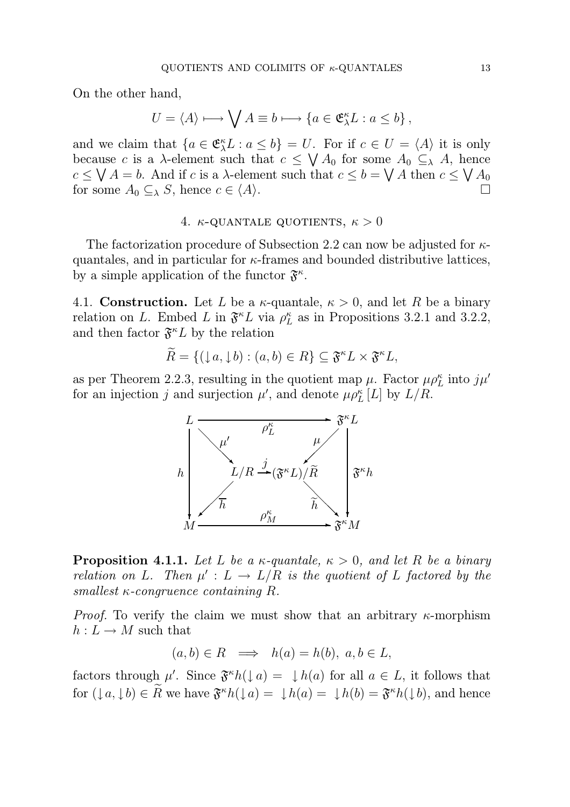On the other hand,

$$
U = \langle A \rangle \longmapsto \bigvee A \equiv b \longmapsto \{ a \in \mathfrak{E}_{\lambda}^{\kappa} L : a \leq b \},
$$

and we claim that  $\{a \in \mathfrak{E}_{\lambda}^{\kappa} L : a \leq b\} = U$ . For if  $c \in U = \langle A \rangle$  it is only because c is a  $\lambda$ -element such that  $c \leq \bigvee A_0$  for some  $A_0 \subseteq_{\lambda} A$ , hence  $c \leq \bigvee A = b$ . And if c is a  $\lambda$ -element such that  $c \leq b = \bigvee A$  then  $c \leq \bigvee A_0$ for some  $A_0 \subseteq_{\lambda} S$ , hence  $c \in \langle A \rangle$ .

## 4.  $\kappa$ -QUANTALE QUOTIENTS,  $\kappa > 0$

The factorization procedure of Subsection 2.2 can now be adjusted for  $\kappa$ quantales, and in particular for  $\kappa$ -frames and bounded distributive lattices, by a simple application of the functor  $\mathfrak{F}^{\kappa}$ .

4.1. **Construction.** Let L be a  $\kappa$ -quantale,  $\kappa > 0$ , and let R be a binary relation on L. Embed L in  $\mathfrak{F}^{\kappa}L$  via  $\rho_L^{\kappa}$  $_L^{\kappa}$  as in Propositions 3.2.1 and 3.2.2, and then factor  $\mathfrak{F}^{\kappa}L$  by the relation

$$
\widetilde{R} = \{ (\downarrow a, \downarrow b) : (a, b) \in R \} \subseteq \mathfrak{F}^{\kappa} L \times \mathfrak{F}^{\kappa} L,
$$

as per Theorem 2.2.3, resulting in the quotient map  $\mu$ . Factor  $\mu \rho_L^{\kappa}$  into  $j\mu'$ for an injection j and surjection  $\mu'$ , and denote  $\mu \rho_L^{\kappa}[L]$  by  $L/R$ .



**Proposition 4.1.1.** Let L be a  $\kappa$ -quantale,  $\kappa > 0$ , and let R be a binary relation on L. Then  $\mu' : L \to L/R$  is the quotient of L factored by the smallest  $\kappa$ -congruence containing R.

*Proof.* To verify the claim we must show that an arbitrary  $\kappa$ -morphism  $h: L \to M$  such that

$$
(a, b) \in R \implies h(a) = h(b), \ a, b \in L,
$$

factors through  $\mu'$ . Since  $\mathfrak{F}^{\kappa}h(\downarrow a) = \downarrow h(a)$  for all  $a \in L$ , it follows that for  $(\downarrow a, \downarrow b) \in R$  we have  $\mathfrak{F}^{\kappa}h(\downarrow a) = \downarrow h(a) = \downarrow h(b) = \mathfrak{F}^{\kappa}h(\downarrow b)$ , and hence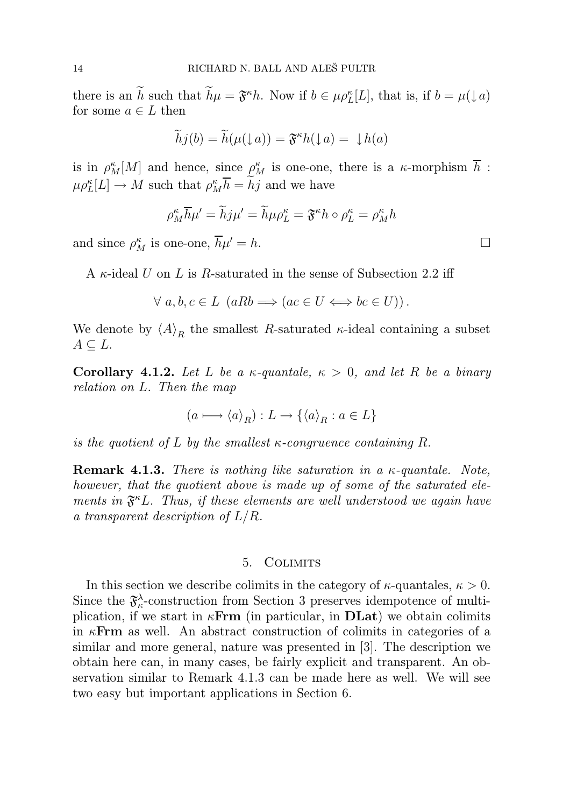there is an h such that  $h\mu = \mathfrak{F}^{\kappa}h$ . Now if  $b \in \mu \rho_L^{\kappa}[L]$ , that is, if  $b = \mu(\downarrow a)$ for some  $a \in L$  then

$$
\widetilde{h}j(b) = \widetilde{h}(\mu(\downarrow a)) = \mathfrak{F}^{\kappa}h(\downarrow a) = \downarrow h(a)
$$

is in  $\rho_M^{\kappa}[M]$  and hence, since  $\rho_M^{\kappa}$  is one-one, there is a  $\kappa$ -morphism  $\overline{h}$ :  $\mu \rho_L^{\kappa}[L] \to M$  such that  $\rho_M^{\kappa} \overline{h} = hj$  and we have

$$
\rho_M^{\kappa} \overline{h} \mu' = \widetilde{h} j \mu' = \widetilde{h} \mu \rho_L^{\kappa} = \mathfrak{F}^{\kappa} h \circ \rho_L^{\kappa} = \rho_M^{\kappa} h
$$

and since  $\rho_M^{\kappa}$  is one-one,  $\overline{h}\mu' = h$ .

A  $\kappa$ -ideal U on L is R-saturated in the sense of Subsection 2.2 iff

$$
\forall a, b, c \in L \ (aRb \Longrightarrow (ac \in U \Longleftrightarrow bc \in U)).
$$

We denote by  $\langle A \rangle_R$  the smallest R-saturated  $\kappa$ -ideal containing a subset  $A \subseteq L$ .

Corollary 4.1.2. Let L be a  $\kappa$ -quantale,  $\kappa > 0$ , and let R be a binary relation on L. Then the map

$$
(a \longmapsto \langle a \rangle_R) : L \to \{\langle a \rangle_R : a \in L\}
$$

is the quotient of L by the smallest  $\kappa$ -congruence containing R.

**Remark 4.1.3.** There is nothing like saturation in a  $\kappa$ -quantale. Note, however, that the quotient above is made up of some of the saturated elements in  $\mathfrak{F}^{\kappa}L$ . Thus, if these elements are well understood we again have a transparent description of  $L/R$ .

#### 5. Colimits

In this section we describe colimits in the category of  $\kappa$ -quantales,  $\kappa > 0$ . Since the  $\mathfrak{F}^{\lambda}_{\kappa}$  $\lambda_{\kappa}$ -construction from Section 3 preserves idempotence of multiplication, if we start in  $\kappa$ **Frm** (in particular, in **DLat**) we obtain colimits in  $\kappa$ **Frm** as well. An abstract construction of colimits in categories of a similar and more general, nature was presented in [3]. The description we obtain here can, in many cases, be fairly explicit and transparent. An observation similar to Remark 4.1.3 can be made here as well. We will see two easy but important applications in Section 6.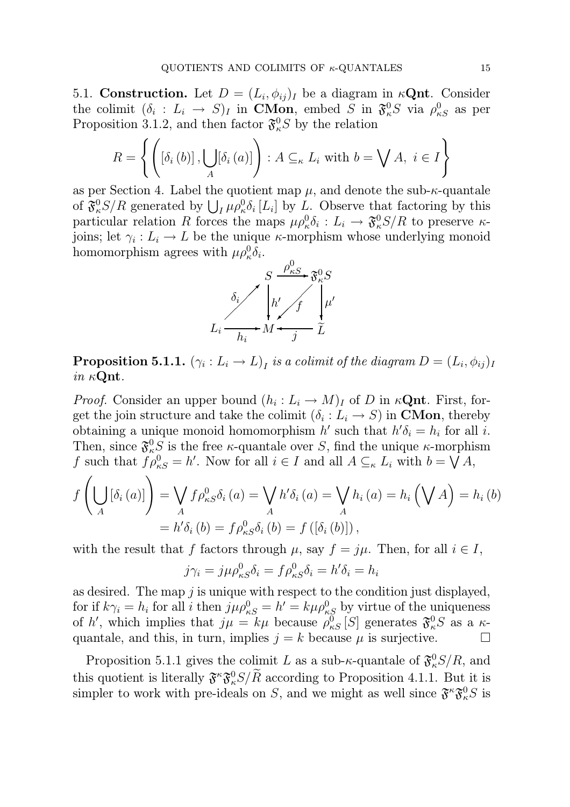5.1. Construction. Let  $D = (L_i, \phi_{ij})_I$  be a diagram in  $\kappa \mathbf{Qnt}$ . Consider the colimit  $(\delta_i : L_i \to S)_I$  in **CMon**, embed S in  $\mathfrak{F}^0_{\kappa}S$  via  $\rho^0_{\kappa S}$  as per Proposition 3.1.2, and then factor  $\mathfrak{F}^0_{\kappa}S$  by the relation

$$
R = \left\{ \left( \left[ \delta_i \left( b \right) \right], \bigcup_A \left[ \delta_i \left( a \right) \right] \right) : A \subseteq_{\kappa} L_i \text{ with } b = \bigvee A, i \in I \right\}
$$

as per Section 4. Label the quotient map  $\mu$ , and denote the sub- $\kappa$ -quantale of  $\mathfrak{F}^0_\kappa S/R$  generated by  $\bigcup_I \mu \rho^0_\kappa \delta_i [L_i]$  by L. Observe that factoring by this particular relation R forces the maps  $\mu \rho^0_k \delta_i : L_i \to \mathfrak{F}^0_k S/R$  to preserve  $\kappa$ joins; let  $\gamma_i: L_i \to L$  be the unique  $\kappa$ -morphism whose underlying monoid homomorphism agrees with  $\mu \rho^0_{\kappa} \delta_i$ .



 $\bf{Proposition 5.1.1.}$   $(\gamma_i : L_i \rightarrow L)_I$  is a colimit of the diagram  $D=(L_i, \phi_{ij})_I$ in  $\kappa$ **Qnt**.

*Proof.* Consider an upper bound  $(h_i: L_i \to M)_I$  of D in  $\kappa \mathbf{Qnt}$ . First, forget the join structure and take the colimit  $(\delta_i: L_i \to S)$  in **CMon**, thereby obtaining a unique monoid homomorphism  $h'$  such that  $h' \delta_i = h_i$  for all i. Then, since  $\mathfrak{F}^0_{\kappa}$  is the free  $\kappa$ -quantale over S, find the unique  $\kappa$ -morphism f such that  $f \rho_{\kappa S}^0 = h'$ . Now for all  $i \in I$  and all  $A \subseteq_{\kappa} L_i$  with  $b = \bigvee A$ ,

$$
f\left(\bigcup_{A} [\delta_i(a)]\right) = \bigvee_{A} f\rho_{\kappa S}^0 \delta_i(a) = \bigvee_{A} h' \delta_i(a) = \bigvee_{A} h_i(a) = h_i\left(\bigvee_{A} A\right) = h_i(b)
$$
  
=  $h' \delta_i(b) = f\rho_{\kappa S}^0 \delta_i(b) = f([\delta_i(b)]),$ 

with the result that f factors through  $\mu$ , say  $f = j\mu$ . Then, for all  $i \in I$ ,

$$
j\gamma_i = j\mu \rho_{\kappa S}^0 \delta_i = f\rho_{\kappa S}^0 \delta_i = h'\delta_i = h_i
$$

as desired. The map  $j$  is unique with respect to the condition just displayed, for if  $k\gamma_i = h_i$  for all i then  $j\mu \rho_{\kappa S}^0 = h' = k\mu \rho_{\kappa S}^0$  by virtue of the uniqueness of h', which implies that  $j\mu = k\mu$  because  $\rho_{\kappa S}^0[S]$  generates  $\mathfrak{F}^0_{\kappa}S$  as a  $\kappa$ quantale, and this, in turn, implies  $j = k$  because  $\mu$  is surjective.

Proposition 5.1.1 gives the colimit L as a sub- $\kappa$ -quantale of  $\mathfrak{F}^0_{\kappa}S/R$ , and this quotient is literally  $\mathfrak{F}^{\kappa} \mathfrak{F}^0_{\kappa} S/R$  according to Proposition 4.1.1. But it is simpler to work with pre-ideals on S, and we might as well since  $\mathfrak{F}^{\kappa} \mathfrak{F}_{\kappa}^{0} S$  is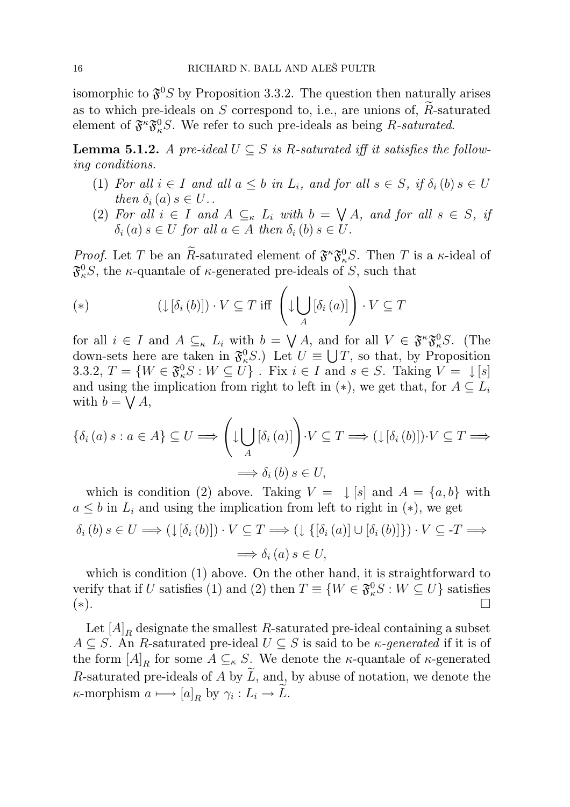isomorphic to  $\mathfrak{F}^0 S$  by Proposition 3.3.2. The question then naturally arises as to which pre-ideals on  $S$  correspond to, i.e., are unions of,  $R$ -saturated element of  $\mathfrak{F}^{\kappa} \mathfrak{F}^0_{\kappa} S$ . We refer to such pre-ideals as being R-saturated.

**Lemma 5.1.2.** A pre-ideal  $U \subseteq S$  is R-saturated iff it satisfies the following conditions.

- (1) For all  $i \in I$  and all  $a \leq b$  in  $L_i$ , and for all  $s \in S$ , if  $\delta_i(b)$   $s \in U$ then  $\delta_i(a)$  s  $\in U$ .
- (2) For all  $i \in I$  and  $A \subseteq_{\kappa} L_i$  with  $b = \bigvee A$ , and for all  $s \in S$ , if  $\delta_i(a)$  s  $\in U$  for all  $a \in A$  then  $\delta_i(b)$  s  $\in U$ .

*Proof.* Let T be an R-saturated element of  $\mathfrak{F}^{\kappa} \mathfrak{F}^0_{\kappa} S$ . Then T is a  $\kappa$ -ideal of  $\mathfrak{F}^0_\kappa S$ , the  $\kappa$ -quantale of  $\kappa$ -generated pre-ideals of S, such that

(\*) 
$$
(\downarrow [\delta_i(b)]) \cdot V \subseteq T \text{ iff } \left( \downarrow \bigcup_A [\delta_i(a)] \right) \cdot V \subseteq T
$$

for all  $i \in I$  and  $A \subseteq_{\kappa} L_i$  with  $b = \bigvee A$ , and for all  $V \in \mathfrak{F}^{\kappa} \mathfrak{F}_{\kappa}^0 S$ . (The down-sets here are taken in  $\mathfrak{F}^0_{\kappa}S$ .) Let  $U \equiv \bigcup T$ , so that, by Proposition 3.3.2,  $T = \{W \in \mathfrak{F}_{\kappa}^0 S : W \subseteq U\}$ . Fix  $i \in I$  and  $s \in S$ . Taking  $V = \mathcal{L}[s]$ and using the implication from right to left in  $(*)$ , we get that, for  $A \subseteq L_i$ with  $b = \bigvee A$ ,

$$
\{\delta_i(a) \ s : a \in A\} \subseteq U \Longrightarrow \left(\downarrow \bigcup_A [\delta_i(a)]\right) \cdot V \subseteq T \Longrightarrow (\downarrow [\delta_i(b)]) \cdot V \subseteq T \Longrightarrow
$$

$$
\Longrightarrow \delta_i(b) \ s \in U,
$$

which is condition (2) above. Taking  $V = \downarrow [s]$  and  $A = \{a, b\}$  with  $a \leq b$  in  $L_i$  and using the implication from left to right in  $(*)$ , we get  $\delta_i(b) s \in U \Longrightarrow (\downarrow [\delta_i(b)]) \cdot V \subseteq T \Longrightarrow (\downarrow {\{\delta_i(a)| \cup [\delta_i(b)]\}}) \cdot V \subseteq T \Longrightarrow$  $\implies \delta_i(a) s \in U$ ,

which is condition (1) above. On the other hand, it is straightforward to verify that if U satisfies (1) and (2) then  $T \equiv \{W \in \mathfrak{F}^0_\kappa S : W \subseteq U\}$  satisfies (∗).

Let  $\left[ A \right]_R$  designate the smallest  $R$ -saturated pre-ideal containing a subset  $A \subseteq S$ . An R-saturated pre-ideal  $U \subseteq S$  is said to be  $\kappa$ -generated if it is of the form  $[A]_R$  for some  $A \subseteq_{\kappa} S$ . We denote the  $\kappa$ -quantale of  $\kappa$ -generated R-saturated pre-ideals of A by  $\tilde{L}$ , and, by abuse of notation, we denote the  $\kappa$ -morphism  $a \mapsto [a]_R$  by  $\gamma_i : L_i \to L$ .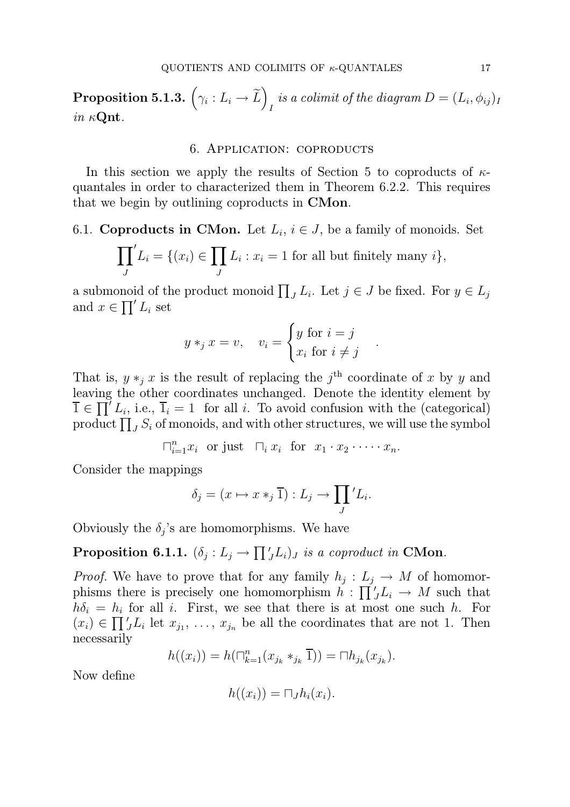$\textbf{Proposition 5.1.3.}~\left(\gamma_i : L_i \rightarrow \widetilde{L}\right)$ is a colimit of the diagram  $D = (L_i, \phi_{ij})_I$ in  $\kappa$ **Qnt**.

#### 6. Application: coproducts

In this section we apply the results of Section 5 to coproducts of  $\kappa$ quantales in order to characterized them in Theorem 6.2.2. This requires that we begin by outlining coproducts in CMon.

6.1. Coproducts in CMon. Let  $L_i$ ,  $i \in J$ , be a family of monoids. Set

$$
\prod_{J} L_i = \{(x_i) \in \prod_{J} L_i : x_i = 1 \text{ for all but finitely many } i\},
$$

a submonoid of the product monoid  $\prod_{J} L_i$ . Let  $j \in J$  be fixed. For  $y \in L_j$ and  $x \in \prod' L_i$  set

$$
y *_{j} x = v
$$
,  $v_{i} = \begin{cases} y \text{ for } i = j \\ x_{i} \text{ for } i \neq j \end{cases}$ 

.

That is,  $y *_{j} x$  is the result of replacing the j<sup>th</sup> coordinate of x by y and leaving the other coordinates unchanged. Denote the identity element by  $\overline{1} \in \prod' L_i$ , i.e.,  $\overline{1}_i = 1$  for all i. To avoid confusion with the (categorical) product  $\prod_J S_i$  of monoids, and with other structures, we will use the symbol

$$
\sqcap_{i=1}^n x_i \text{ or just } \sqcap_i x_i \text{ for } x_1 \cdot x_2 \cdot \dots \cdot x_n.
$$

Consider the mappings

$$
\delta_j = (x \mapsto x *_j \overline{1}) : L_j \to \prod_J' L_i.
$$

Obviously the  $\delta_j$ 's are homomorphisms. We have

# **Proposition 6.1.1.**  $(\delta_j: L_j \to \prod'_J L_i)_J$  is a coproduct in CMon.

*Proof.* We have to prove that for any family  $h_j: L_j \to M$  of homomorphisms there is precisely one homomorphism  $h : \prod'_{j} L_{i} \to M$  such that  $h\delta_i = h_i$  for all i. First, we see that there is at most one such h. For  $(x_i) \in \prod'_{j}L_i$  let  $x_{j_1}, \ldots, x_{j_n}$  be all the coordinates that are not 1. Then necessarily

$$
h((x_i)) = h(\sqcap_{k=1}^n (x_{j_k} *_{j_k} \overline{1})) = \sqcap h_{j_k}(x_{j_k}).
$$

Now define

$$
h((x_i)) = \sqcap_J h_i(x_i).
$$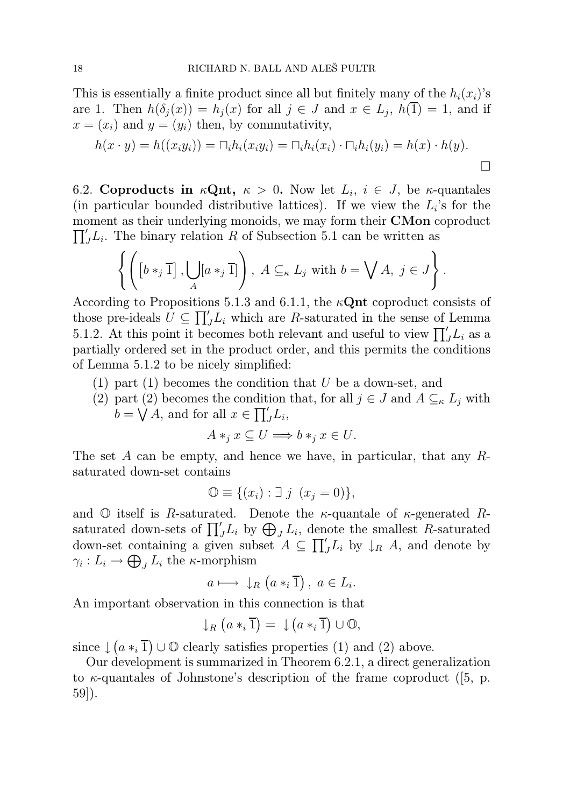This is essentially a finite product since all but finitely many of the  $h_i(x_i)$ 's are 1. Then  $h(\delta_j(x)) = h_j(x)$  for all  $j \in J$  and  $x \in L_j$ ,  $h(\overline{1}) = 1$ , and if  $x = (x_i)$  and  $y = (y_i)$  then, by commutativity,

$$
h(x \cdot y) = h((x_i y_i)) = \bigcap_i h_i(x_i y_i) = \bigcap_i h_i(x_i) \cdot \bigcap_i h_i(y_i) = h(x) \cdot h(y).
$$

6.2. Coproducts in  $\kappa \mathbf{Qnt}$ ,  $\kappa > 0$ . Now let  $L_i$ ,  $i \in J$ , be  $\kappa$ -quantales (in particular bounded distributive lattices). If we view the  $L_i$ 's for the  $\prod'_{j}L_{i}$ . The binary relation R of Subsection 5.1 can be written as moment as their underlying monoids, we may form their **CMon** coproduct

$$
\left\{ \left( \left[b \ast_j \overline{1}\right], \bigcup_A [a \ast_j \overline{1}]\right), \ A \subseteq_{\kappa} L_j \text{ with } b = \bigvee A, \ j \in J \right\}.
$$

According to Propositions 5.1.3 and 6.1.1, the  $\kappa$ **Qnt** coproduct consists of those pre-ideals  $\tilde{U} \subseteq \prod'_{J}L_{i}$  which are R-saturated in the sense of Lemma 5.1.2. At this point it becomes both relevant and useful to view  $\prod'_{j}L_{i}$  as a partially ordered set in the product order, and this permits the conditions of Lemma 5.1.2 to be nicely simplified:

(1) part (1) becomes the condition that U be a down-set, and

(2) part (2) becomes the condition that, for all  $j \in J$  and  $A \subseteq_{\kappa} L_j$  with  $b = \bigvee A$ , and for all  $x \in \prod'_{J}L_{i}$ ,

$$
A*_j x \subseteq U \Longrightarrow b*_j x \in U.
$$

The set A can be empty, and hence we have, in particular, that any  $R$ saturated down-set contains

$$
\mathbb{O} \equiv \{(x_i) : \exists j \ (x_j = 0)\},\
$$

and  $\mathbb O$  itself is R-saturated. Denote the  $\kappa$ -quantale of  $\kappa$ -generated Rsaturated down-sets of  $\prod_{j}^{'} L_i$  by  $\bigoplus_j L_i$ , denote the smallest R-saturated down-set containing a given subset  $A \subseteq \prod'_{J}L_i$  by  $\downarrow_R A$ , and denote by  $\gamma_i: L_i \to \bigoplus_J L_i$  the  $\kappa$ -morphism

$$
a \longmapsto \downarrow_R (a *_i \overline{1}), \ a \in L_i.
$$

An important observation in this connection is that

$$
\downarrow_R (a*_i \overline{1}) = \downarrow (a*_i \overline{1}) \cup \mathbb{O},
$$

since  $\downarrow$   $(a *_{i} \overline{1}) \cup \mathbb{O}$  clearly satisfies properties (1) and (2) above.

Our development is summarized in Theorem 6.2.1, a direct generalization to  $\kappa$ -quantales of Johnstone's description of the frame coproduct ([5, p. 59]).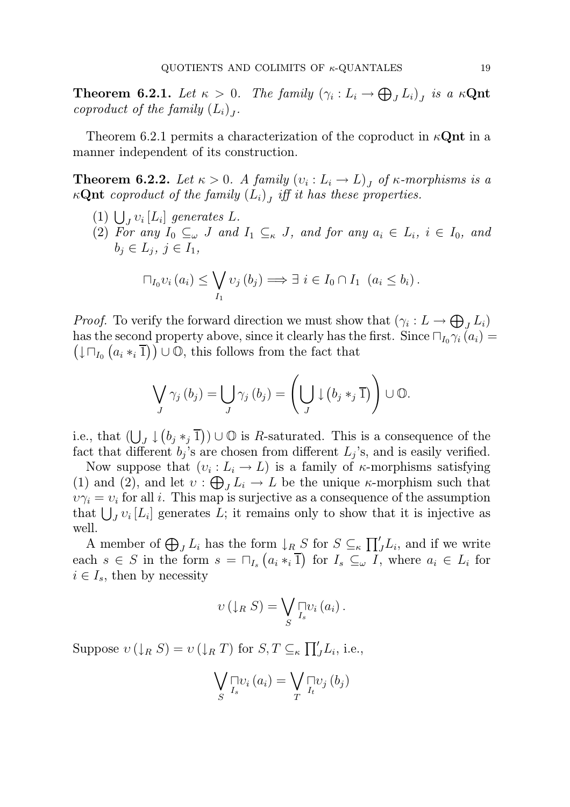**Theorem 6.2.1.** Let  $\kappa > 0$ . The family  $(\gamma_i : L_i \to \bigoplus_j L_i)_j$  is a  $\kappa \mathbf{Qnt}$ coproduct of the family  $(L_i)_J$ .

Theorem 6.2.1 permits a characterization of the coproduct in  $\kappa$ **Qnt** in a manner independent of its construction.

**Theorem 6.2.2.** Let  $\kappa > 0$ . A family  $(v_i : L_i \to L)_J$  of  $\kappa$ -morphisms is a  $\kappa \mathbf{Qnt}$  coproduct of the family  $(L_i)$  iff it has these properties.

- (1)  $\bigcup_{J} v_i [L_i]$  generates L.
- (2) For any  $I_0 \subseteq_{\omega} J$  and  $I_1 \subseteq_{\kappa} J$ , and for any  $a_i \in L_i$ ,  $i \in I_0$ , and  $b_j \in L_j, j \in I_1,$

$$
\sqcap_{I_0} v_i(a_i) \leq \bigvee_{I_1} v_j(b_j) \Longrightarrow \exists i \in I_0 \cap I_1 \ (a_i \leq b_i).
$$

*Proof.* To verify the forward direction we must show that  $(\gamma_i: L \to \bigoplus_j L_i)$ has the second property above, since it clearly has the first. Since  $\Box_{I_0} \gamma_i(a_i) =$  $(\downarrow \Box_{I_0} (a_i *_i \overline{1})) \cup \overline{0}$ , this follows from the fact that

$$
\bigvee_{J} \gamma_{j} (b_{j}) = \bigcup_{J} \gamma_{j} (b_{j}) = \left( \bigcup_{J} \downarrow (b_{j} *_{j} \overline{1}) \right) \cup \mathbb{O}.
$$

i.e., that  $(\bigcup_{J} \downarrow (b_j *_{j} \overline{1})) \cup \mathbb{O}$  is R-saturated. This is a consequence of the fact that different  $b_j$ 's are chosen from different  $L_j$ 's, and is easily verified.

Now suppose that  $(v_i: L_i \to L)$  is a family of  $\kappa$ -morphisms satisfying (1) and (2), and let  $v : \bigoplus_J L_i \to L$  be the unique  $\kappa$ -morphism such that  $\nu \gamma_i = \nu_i$  for all *i*. This map is surjective as a consequence of the assumption that  $\bigcup_{J} v_i [L_i]$  generates L; it remains only to show that it is injective as well.

A member of  $\bigoplus_J L_i$  has the form  $\downarrow_R S$  for  $S \subseteq_{\kappa} \prod'_J L_i$ , and if we write each  $s \in S$  in the form  $s = \bigcap_{I_s} (a_i *_{i} \overline{1})$  for  $I_s \subseteq \overline{I}$ , where  $a_i \in L_i$  for  $i \in I_s$ , then by necessity

$$
v(\downarrow_R S) = \bigvee_{S} \bigcap_{I_s} v_i(a_i) .
$$

Suppose  $v(\downarrow_R S) = v(\downarrow_R T)$  for  $S, T \subseteq_{\kappa} \prod'_J L_i$ , i.e.,

$$
\bigvee_{S} \bigcap_{I_s} v_i(a_i) = \bigvee_{T} \bigcap_{I_t} v_j(b_j)
$$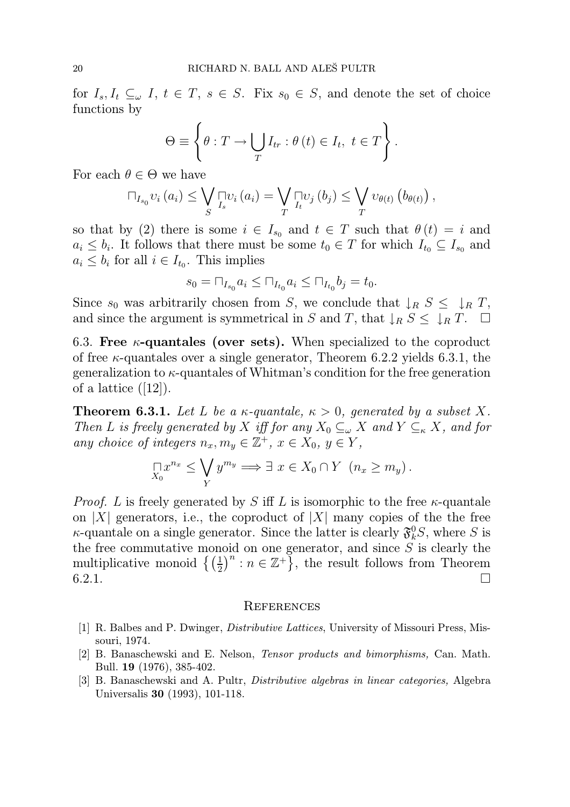for  $I_s, I_t \subseteq_{\omega} I$ ,  $t \in T$ ,  $s \in S$ . Fix  $s_0 \in S$ , and denote the set of choice functions by

$$
\Theta \equiv \left\{ \theta : T \to \bigcup_{T} I_{tr} : \theta \left( t \right) \in I_{t}, \ t \in T \right\}.
$$

For each  $\theta \in \Theta$  we have

$$
\sqcap_{I_{s_0}} v_i(a_i) \leq \bigvee_{S} \sqcap_{I_s} v_i(a_i) = \bigvee_{T} \sqcap_{I_t} v_j(b_j) \leq \bigvee_{T} v_{\theta(t)} (b_{\theta(t)}),
$$

so that by (2) there is some  $i \in I_{s_0}$  and  $t \in T$  such that  $\theta(t) = i$  and  $a_i \leq b_i$ . It follows that there must be some  $t_0 \in T$  for which  $I_{t_0} \subseteq I_{s_0}$  and  $a_i \leq b_i$  for all  $i \in I_{t_0}$ . This implies

$$
s_0 = \Box_{I_{s_0}} a_i \le \Box_{I_{t_0}} a_i \le \Box_{I_{t_0}} b_j = t_0.
$$

Since  $s_0$  was arbitrarily chosen from S, we conclude that  $\downarrow_R S \leq \downarrow_R T$ , and since the argument is symmetrical in S and T, that  $\downarrow_R S \leq \downarrow_R T$ .  $\Box$ 

6.3. Free  $\kappa$ -quantales (over sets). When specialized to the coproduct of free  $\kappa$ -quantales over a single generator, Theorem 6.2.2 yields 6.3.1, the generalization to  $\kappa$ -quantales of Whitman's condition for the free generation of a lattice  $([12])$ .

**Theorem 6.3.1.** Let L be a  $\kappa$ -quantale,  $\kappa > 0$ , generated by a subset X. Then L is freely generated by X iff for any  $X_0 \subseteq_{\omega} X$  and  $Y \subseteq_{\kappa} X$ , and for any choice of integers  $n_x, m_y \in \mathbb{Z}^+$ ,  $x \in X_0, y \in Y$ ,

$$
\lim_{X_0} x^{n_x} \le \bigvee_Y y^{m_y} \Longrightarrow \exists x \in X_0 \cap Y \ \ (n_x \ge m_y).
$$

*Proof.* L is freely generated by S iff L is isomorphic to the free  $\kappa$ -quantale on |X| generators, i.e., the coproduct of |X| many copies of the the free  $\kappa$ -quantale on a single generator. Since the latter is clearly  $\mathfrak{F}^0_k S$ , where S is the free commutative monoid on one generator, and since  $S$  is clearly the multiplicative monoid  $\left\{ \left( \frac{1}{2} \right)^n : n \in \mathbb{Z}^+ \right\}$ , the result follows from Theorem 6.2.1.  $\square$ 

#### **REFERENCES**

- [1] R. Balbes and P. Dwinger, Distributive Lattices, University of Missouri Press, Missouri, 1974.
- [2] B. Banaschewski and E. Nelson, Tensor products and bimorphisms, Can. Math. Bull. 19 (1976), 385-402.
- [3] B. Banaschewski and A. Pultr, Distributive algebras in linear categories, Algebra Universalis 30 (1993), 101-118.